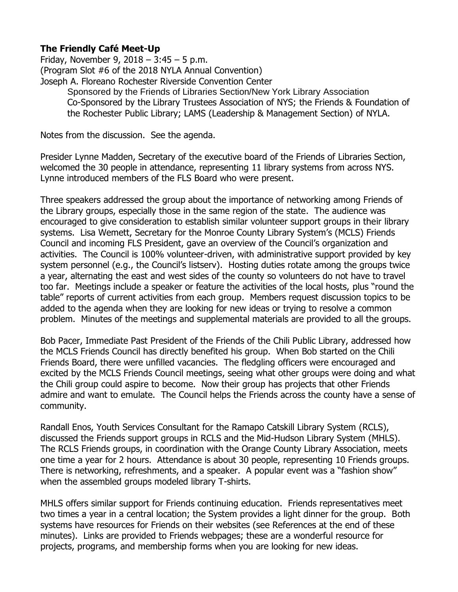## **The Friendly Café Meet-Up**

Friday, November 9, 2018 – 3:45 – 5 p.m. (Program Slot #6 of the 2018 NYLA Annual Convention) Joseph A. Floreano Rochester Riverside Convention Center Sponsored by the Friends of Libraries Section/New York Library Association Co-Sponsored by the Library Trustees Association of NYS; the Friends & Foundation of the Rochester Public Library; LAMS (Leadership & Management Section) of NYLA.

Notes from the discussion. See the agenda.

Presider Lynne Madden, Secretary of the executive board of the Friends of Libraries Section, welcomed the 30 people in attendance, representing 11 library systems from across NYS. Lynne introduced members of the FLS Board who were present.

Three speakers addressed the group about the importance of networking among Friends of the Library groups, especially those in the same region of the state. The audience was encouraged to give consideration to establish similar volunteer support groups in their library systems. Lisa Wemett, Secretary for the Monroe County Library System's (MCLS) Friends Council and incoming FLS President, gave an overview of the Council's organization and activities. The Council is 100% volunteer-driven, with administrative support provided by key system personnel (e.g., the Council's listserv). Hosting duties rotate among the groups twice a year, alternating the east and west sides of the county so volunteers do not have to travel too far. Meetings include a speaker or feature the activities of the local hosts, plus "round the table" reports of current activities from each group. Members request discussion topics to be added to the agenda when they are looking for new ideas or trying to resolve a common problem. Minutes of the meetings and supplemental materials are provided to all the groups.

Bob Pacer, Immediate Past President of the Friends of the Chili Public Library, addressed how the MCLS Friends Council has directly benefited his group. When Bob started on the Chili Friends Board, there were unfilled vacancies. The fledgling officers were encouraged and excited by the MCLS Friends Council meetings, seeing what other groups were doing and what the Chili group could aspire to become. Now their group has projects that other Friends admire and want to emulate. The Council helps the Friends across the county have a sense of community.

Randall Enos, Youth Services Consultant for the Ramapo Catskill Library System (RCLS), discussed the Friends support groups in RCLS and the Mid-Hudson Library System (MHLS). The RCLS Friends groups, in coordination with the Orange County Library Association, meets one time a year for 2 hours. Attendance is about 30 people, representing 10 Friends groups. There is networking, refreshments, and a speaker. A popular event was a "fashion show" when the assembled groups modeled library T-shirts.

MHLS offers similar support for Friends continuing education. Friends representatives meet two times a year in a central location; the System provides a light dinner for the group. Both systems have resources for Friends on their websites (see References at the end of these minutes). Links are provided to Friends webpages; these are a wonderful resource for projects, programs, and membership forms when you are looking for new ideas.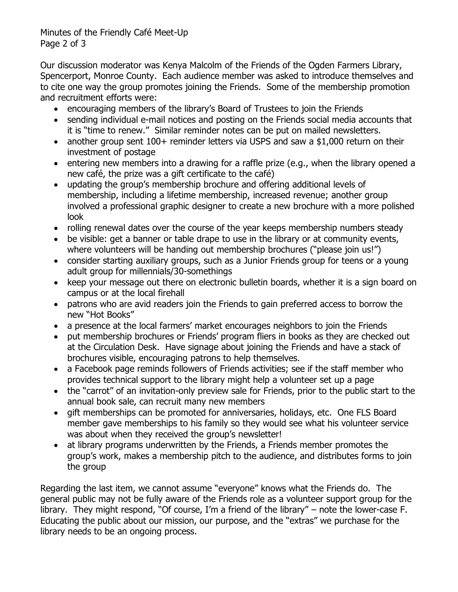Minutes of the Friendly Café Meet-Up Page 2 of 3

Our discussion moderator was Kenya Malcolm of the Friends of the Ogden Farmers Library, Spencerport, Monroe County. Each audience member was asked to introduce themselves and to cite one way the group promotes joining the Friends. Some of the membership promotion and recruitment efforts were:

- encouraging members of the library's Board of Trustees to join the Friends
- sending individual e-mail notices and posting on the Friends social media accounts that it is "time to renew." Similar reminder notes can be put on mailed newsletters.
- another group sent 100+ reminder letters via USPS and saw a \$1,000 return on their investment of postage
- entering new members into a drawing for a raffle prize (e.g., when the library opened a new café, the prize was a gift certificate to the café)
- updating the group's membership brochure and offering additional levels of membership, including a lifetime membership, increased revenue; another group involved a professional graphic designer to create a new brochure with a more polished look
- rolling renewal dates over the course of the year keeps membership numbers steady
- be visible: get a banner or table drape to use in the library or at community events, where volunteers will be handing out membership brochures ("please join us!")
- consider starting auxiliary groups, such as a Junior Friends group for teens or a young adult group for millennials/30-somethings
- keep your message out there on electronic bulletin boards, whether it is a sign board on campus or at the local firehall
- patrons who are avid readers join the Friends to gain preferred access to borrow the new "Hot Books"
- a presence at the local farmers' market encourages neighbors to join the Friends
- put membership brochures or Friends' program fliers in books as they are checked out at the Circulation Desk. Have signage about joining the Friends and have a stack of brochures visible, encouraging patrons to help themselves.
- a Facebook page reminds followers of Friends activities; see if the staff member who provides technical support to the library might help a volunteer set up a page
- the "carrot" of an invitation-only preview sale for Friends, prior to the public start to the annual book sale, can recruit many new members
- gift memberships can be promoted for anniversaries, holidays, etc. One FLS Board member gave memberships to his family so they would see what his volunteer service was about when they received the group's newsletter!
- at library programs underwritten by the Friends, a Friends member promotes the group's work, makes a membership pitch to the audience, and distributes forms to join the group

Regarding the last item, we cannot assume "everyone" knows what the Friends do. The general public may not be fully aware of the Friends role as a volunteer support group for the library. They might respond, "Of course, I'm a friend of the library" – note the lower-case F. Educating the public about our mission, our purpose, and the "extras" we purchase for the library needs to be an ongoing process.